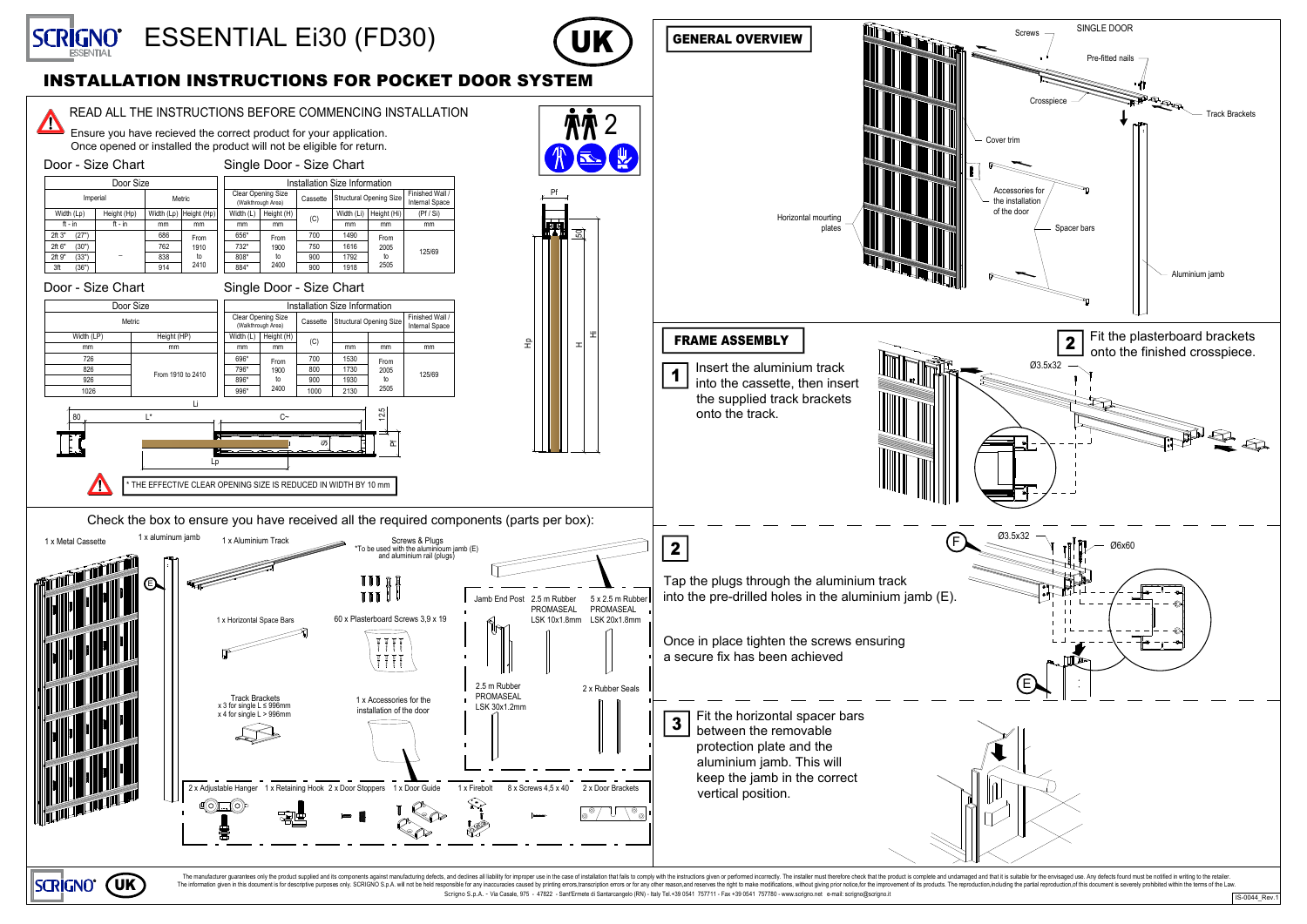

IS-0044\_Rev.1